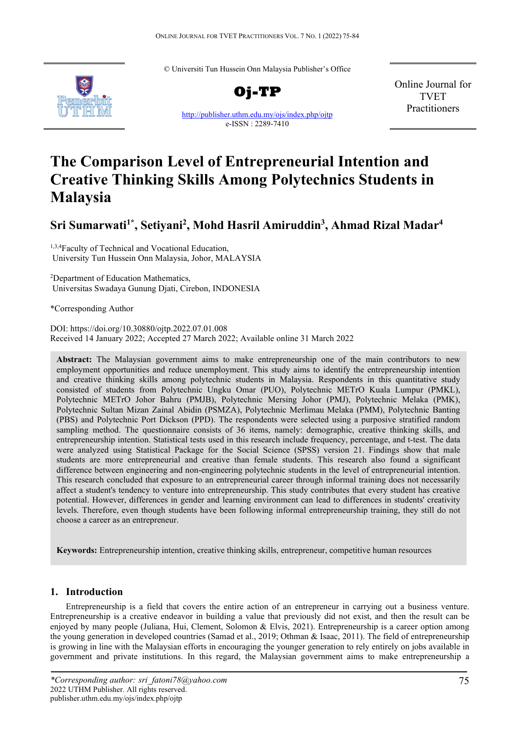© Universiti Tun Hussein Onn Malaysia Publisher's Office



**Oj-TP** <http://publisher.uthm.edu.my/ojs/index.php/ojtp> e-ISSN : 2289-7410

Online Journal for TVET Practitioners

# **The Comparison Level of Entrepreneurial Intention and Creative Thinking Skills Among Polytechnics Students in Malaysia**

# **Sri Sumarwati1\* , Setiyani2 , Mohd Hasril Amiruddin3 , Ahmad Rizal Madar4**

1,3,4 Faculty of Technical and Vocational Education, University Tun Hussein Onn Malaysia, Johor, MALAYSIA

2 Department of Education Mathematics, Universitas Swadaya Gunung Djati, Cirebon, INDONESIA

\*Corresponding Author

DOI: https://doi.org/10.30880/ojtp.2022.07.01.008 Received 14 January 2022; Accepted 27 March 2022; Available online 31 March 2022

**Abstract:** The Malaysian government aims to make entrepreneurship one of the main contributors to new employment opportunities and reduce unemployment. This study aims to identify the entrepreneurship intention and creative thinking skills among polytechnic students in Malaysia. Respondents in this quantitative study consisted of students from Polytechnic Ungku Omar (PUO), Polytechnic METrO Kuala Lumpur (PMKL), Polytechnic METrO Johor Bahru (PMJB), Polytechnic Mersing Johor (PMJ), Polytechnic Melaka (PMK), Polytechnic Sultan Mizan Zainal Abidin (PSMZA), Polytechnic Merlimau Melaka (PMM), Polytechnic Banting (PBS) and Polytechnic Port Dickson (PPD). The respondents were selected using a purposive stratified random sampling method. The questionnaire consists of 36 items, namely: demographic, creative thinking skills, and entrepreneurship intention. Statistical tests used in this research include frequency, percentage, and t-test. The data were analyzed using Statistical Package for the Social Science (SPSS) version 21. Findings show that male students are more entrepreneurial and creative than female students. This research also found a significant difference between engineering and non-engineering polytechnic students in the level of entrepreneurial intention. This research concluded that exposure to an entrepreneurial career through informal training does not necessarily affect a student's tendency to venture into entrepreneurship. This study contributes that every student has creative potential. However, differences in gender and learning environment can lead to differences in students' creativity levels. Therefore, even though students have been following informal entrepreneurship training, they still do not choose a career as an entrepreneur.

**Keywords:** Entrepreneurship intention, creative thinking skills, entrepreneur, competitive human resources

# **1. Introduction**

Entrepreneurship is a field that covers the entire action of an entrepreneur in carrying out a business venture. Entrepreneurship is a creative endeavor in building a value that previously did not exist, and then the result can be enjoyed by many people (Juliana, Hui, Clement, Solomon & Elvis, 2021). Entrepreneurship is a career option among the young generation in developed countries (Samad et al., 2019; Othman & Isaac, 2011). The field of entrepreneurship is growing in line with the Malaysian efforts in encouraging the younger generation to rely entirely on jobs available in government and private institutions. In this regard, the Malaysian government aims to make entrepreneurship a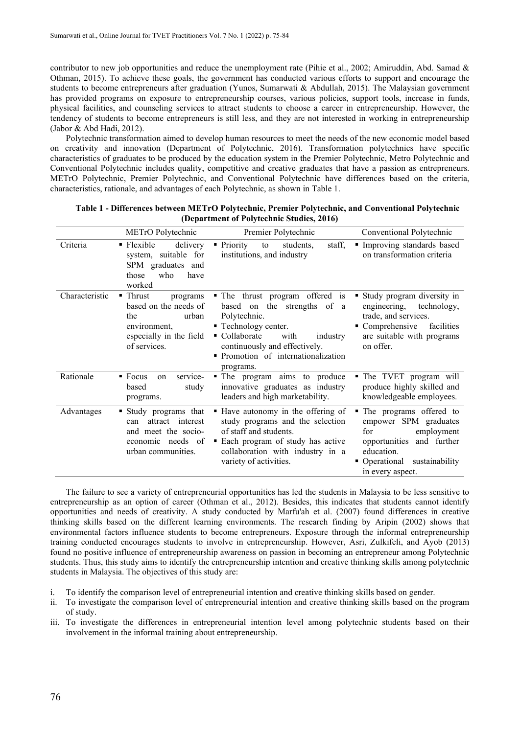contributor to new job opportunities and reduce the unemployment rate (Pihie et al., 2002; Amiruddin, Abd. Samad  $\&$ Othman, 2015). To achieve these goals, the government has conducted various efforts to support and encourage the students to become entrepreneurs after graduation (Yunos, Sumarwati & Abdullah, 2015). The Malaysian government has provided programs on exposure to entrepreneurship courses, various policies, support tools, increase in funds, physical facilities, and counseling services to attract students to choose a career in entrepreneurship. However, the tendency of students to become entrepreneurs is still less, and they are not interested in working in entrepreneurship (Jabor & Abd Hadi, 2012).

Polytechnic transformation aimed to develop human resources to meet the needs of the new economic model based on creativity and innovation (Department of Polytechnic, 2016). Transformation polytechnics have specific characteristics of graduates to be produced by the education system in the Premier Polytechnic, Metro Polytechnic and Conventional Polytechnic includes quality, competitive and creative graduates that have a passion as entrepreneurs. METrO Polytechnic, Premier Polytechnic, and Conventional Polytechnic have differences based on the criteria, characteristics, rationale, and advantages of each Polytechnic, as shown in Table 1.

|                | METrO Polytechnic                                                                                                        | Premier Polytechnic                                                                                                                                                                                                              | Conventional Polytechnic                                                                                                                                               |
|----------------|--------------------------------------------------------------------------------------------------------------------------|----------------------------------------------------------------------------------------------------------------------------------------------------------------------------------------------------------------------------------|------------------------------------------------------------------------------------------------------------------------------------------------------------------------|
| Criteria       | $\blacksquare$ Flexible<br>delivery<br>system, suitable for<br>SPM graduates and<br>who<br>those<br>have<br>worked       | • Priority<br>staff,<br>students,<br>to<br>institutions, and industry                                                                                                                                                            | Improving standards based<br>on transformation criteria                                                                                                                |
| Characteristic | ■ Thrust<br>programs<br>based on the needs of<br>the<br>urban<br>environment,<br>especially in the field<br>of services. | • The thrust program offered is<br>based on the strengths of a<br>Polytechnic.<br>■ Technology center.<br>• Collaborate<br>with<br>industry<br>continuously and effectively.<br>· Promotion of internationalization<br>programs. | Study program diversity in<br>engineering, technology,<br>trade, and services.<br>Comprehensive facilities<br>are suitable with programs<br>on offer.                  |
| Rationale      | service-<br>$\blacksquare$ Focus<br>on<br>study<br>based<br>programs.                                                    | • The program aims to produce<br>innovative graduates as industry<br>leaders and high marketability.                                                                                                                             | • The TVET program will<br>produce highly skilled and<br>knowledgeable employees.                                                                                      |
| Advantages     | Study programs that<br>attract interest<br>can<br>and meet the socio-<br>economic needs of<br>urban communities.         | Have autonomy in the offering of<br>study programs and the selection<br>of staff and students.<br>• Each program of study has active<br>collaboration with industry in a<br>variety of activities.                               | • The programs offered to<br>empower SPM graduates<br>employment<br>for<br>opportunities and further<br>education.<br>• Operational sustainability<br>in every aspect. |

| Table 1 - Differences between METrO Polytechnic, Premier Polytechnic, and Conventional Polytechnic |
|----------------------------------------------------------------------------------------------------|
| (Department of Polytechnic Studies, 2016)                                                          |

The failure to see a variety of entrepreneurial opportunities has led the students in Malaysia to be less sensitive to entrepreneurship as an option of career (Othman et al., 2012). Besides, this indicates that students cannot identify opportunities and needs of creativity. A study conducted by Marfu'ah et al. (2007) found differences in creative thinking skills based on the different learning environments. The research finding by Aripin (2002) shows that environmental factors influence students to become entrepreneurs. Exposure through the informal entrepreneurship training conducted encourages students to involve in entrepreneurship. However, Asri, Zulkifeli, and Ayob (2013) found no positive influence of entrepreneurship awareness on passion in becoming an entrepreneur among Polytechnic students. Thus, this study aims to identify the entrepreneurship intention and creative thinking skills among polytechnic students in Malaysia. The objectives of this study are:

- i. To identify the comparison level of entrepreneurial intention and creative thinking skills based on gender.
- ii. To investigate the comparison level of entrepreneurial intention and creative thinking skills based on the program of study.
- iii. To investigate the differences in entrepreneurial intention level among polytechnic students based on their involvement in the informal training about entrepreneurship.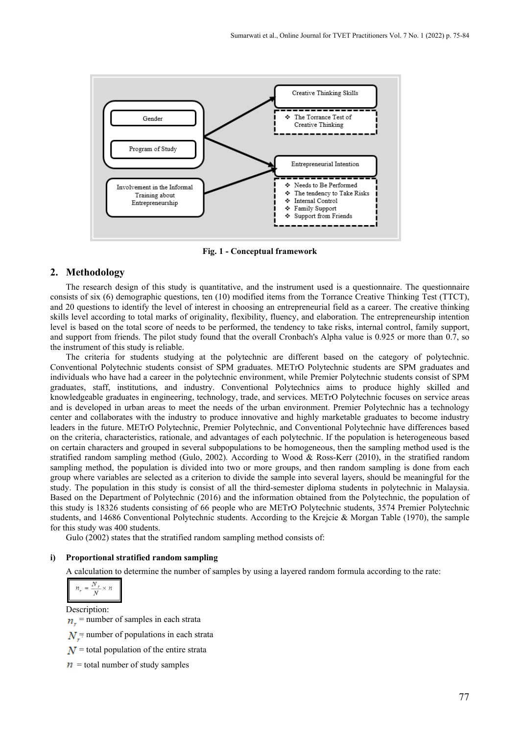

**Fig. 1 - Conceptual framework**

# **2. Methodology**

The research design of this study is quantitative, and the instrument used is a questionnaire. The questionnaire consists of six (6) demographic questions, ten (10) modified items from the Torrance Creative Thinking Test (TTCT), and 20 questions to identify the level of interest in choosing an entrepreneurial field as a career. The creative thinking skills level according to total marks of originality, flexibility, fluency, and elaboration. The entrepreneurship intention level is based on the total score of needs to be performed, the tendency to take risks, internal control, family support, and support from friends. The pilot study found that the overall Cronbach's Alpha value is 0.925 or more than 0.7, so the instrument of this study is reliable.

The criteria for students studying at the polytechnic are different based on the category of polytechnic. Conventional Polytechnic students consist of SPM graduates. METrO Polytechnic students are SPM graduates and individuals who have had a career in the polytechnic environment, while Premier Polytechnic students consist of SPM graduates, staff, institutions, and industry. Conventional Polytechnics aims to produce highly skilled and knowledgeable graduates in engineering, technology, trade, and services. METrO Polytechnic focuses on service areas and is developed in urban areas to meet the needs of the urban environment. Premier Polytechnic has a technology center and collaborates with the industry to produce innovative and highly marketable graduates to become industry leaders in the future. METrO Polytechnic, Premier Polytechnic, and Conventional Polytechnic have differences based on the criteria, characteristics, rationale, and advantages of each polytechnic. If the population is heterogeneous based on certain characters and grouped in several subpopulations to be homogeneous, then the sampling method used is the stratified random sampling method (Gulo, 2002). According to Wood & Ross-Kerr (2010), in the stratified random sampling method, the population is divided into two or more groups, and then random sampling is done from each group where variables are selected as a criterion to divide the sample into several layers, should be meaningful for the study. The population in this study is consist of all the third-semester diploma students in polytechnic in Malaysia. Based on the Department of Polytechnic (2016) and the information obtained from the Polytechnic, the population of this study is 18326 students consisting of 66 people who are METrO Polytechnic students, 3574 Premier Polytechnic students, and 14686 Conventional Polytechnic students. According to the Krejcie & Morgan Table (1970), the sample for this study was 400 students.

Gulo (2002) states that the stratified random sampling method consists of:

#### **i) Proportional stratified random sampling**

A calculation to determine the number of samples by using a layered random formula according to the rate:

$$
n_r = \frac{N_r}{N} \times n
$$

Description:

 $n_r$  = number of samples in each strata

 $N$  = number of populations in each strata

 $N$  = total population of the entire strata

 $n =$  total number of study samples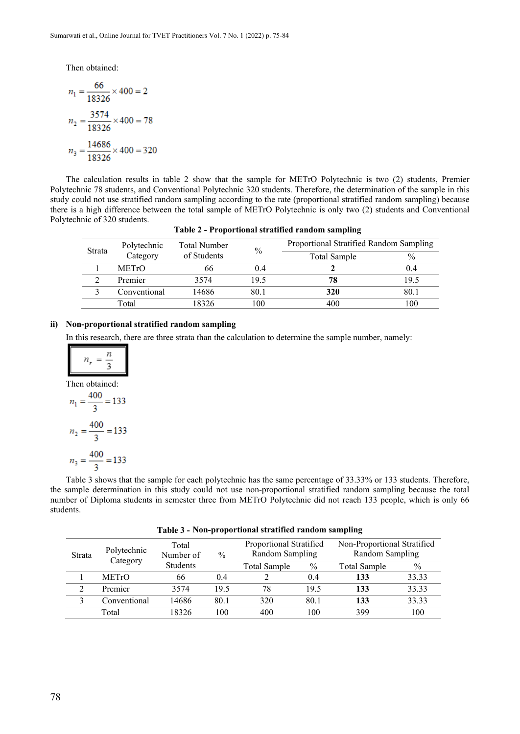Then obtained:

$$
n_1 = \frac{66}{18326} \times 400 = 2
$$
  

$$
n_2 = \frac{3574}{18326} \times 400 = 78
$$
  

$$
n_3 = \frac{14686}{18326} \times 400 = 320
$$

The calculation results in table 2 show that the sample for METrO Polytechnic is two (2) students, Premier Polytechnic 78 students, and Conventional Polytechnic 320 students. Therefore, the determination of the sample in this study could not use stratified random sampling according to the rate (proportional stratified random sampling) because there is a high difference between the total sample of METrO Polytechnic is only two (2) students and Conventional Polytechnic of 320 students.

| Polytechnic<br>Strata<br>Category |              | Total Number | $\frac{0}{0}$ | Proportional Stratified Random Sampling |               |  |
|-----------------------------------|--------------|--------------|---------------|-----------------------------------------|---------------|--|
|                                   |              | of Students  |               | Total Sample                            | $\frac{0}{0}$ |  |
|                                   | <b>METrO</b> | hh           |               |                                         | 0.4           |  |
|                                   | Premier      | 3574         | 19.5          | 78                                      | 19.5          |  |
|                                   | Conventional | 14686        | 80.1          | 320                                     | 80.1          |  |
|                                   | Total        | 18326        | 100           | 400                                     | 100           |  |

**Table 2 - Proportional stratified random sampling**

# **ii) Non-proportional stratified random sampling**

In this research, there are three strata than the calculation to determine the sample number, namely:

$$
n_r = \frac{n}{3}
$$
  
Then obtained:  

$$
n_1 = \frac{400}{3} = 133
$$
  

$$
n_2 = \frac{400}{3} = 133
$$
  

$$
n_3 = \frac{400}{3} = 133
$$

Table 3 shows that the sample for each polytechnic has the same percentage of 33.33% or 133 students. Therefore, the sample determination in this study could not use non-proportional stratified random sampling because the total number of Diploma students in semester three from METrO Polytechnic did not reach 133 people, which is only 66 students.

| Table 3 - Non-proportional stratified random sampling |  |  |  |
|-------------------------------------------------------|--|--|--|
|                                                       |  |  |  |

| Polytechnic<br>Strata<br>Category |              | Total<br>Number of | $\frac{0}{0}$ | Proportional Stratified<br>Random Sampling |       | Non-Proportional Stratified<br>Random Sampling |       |
|-----------------------------------|--------------|--------------------|---------------|--------------------------------------------|-------|------------------------------------------------|-------|
|                                   |              | <b>Students</b>    |               | Total Sample                               | $\%$  | Total Sample                                   | $\%$  |
|                                   | <b>METrO</b> | 66                 | 0.4           |                                            | (0.4) | 133                                            | 33.33 |
|                                   | Premier      | 3574               | 19.5          | 78                                         | 19.5  | 133                                            | 33.33 |
|                                   | Conventional | 14686              | 80.1          | 320                                        | 80.1  | 133                                            | 33.33 |
|                                   | Total        | 18326              | 100           | 400                                        | 100   | 399                                            | 100   |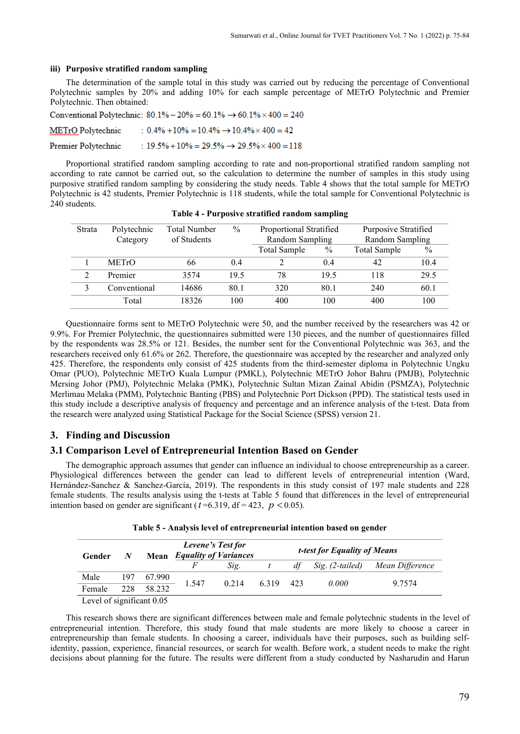#### **iii) Purposive stratified random sampling**

The determination of the sample total in this study was carried out by reducing the percentage of Conventional Polytechnic samples by 20% and adding 10% for each sample percentage of METrO Polytechnic and Premier Polytechnic. Then obtained:

Conventional Polytechnic:  $80.1\% - 20\% = 60.1\% \rightarrow 60.1\% \times 400 = 240$ 

 $: 0.4\% + 10\% = 10.4\% \rightarrow 10.4\% \times 400 = 42$ METrO Polytechnic

:  $19.5\% + 10\% = 29.5\% \rightarrow 29.5\% \times 400 = 118$ Premier Polytechnic

Proportional stratified random sampling according to rate and non-proportional stratified random sampling not according to rate cannot be carried out, so the calculation to determine the number of samples in this study using purposive stratified random sampling by considering the study needs. Table 4 shows that the total sample for METrO Polytechnic is 42 students, Premier Polytechnic is 118 students, while the total sample for Conventional Polytechnic is 240 students.

| <b>Strata</b> | Polytechnic  | <b>Total Number</b> | $\%$ | Proportional Stratified |      | Purposive Stratified |               |
|---------------|--------------|---------------------|------|-------------------------|------|----------------------|---------------|
|               | Category     | of Students         |      | Random Sampling         |      | Random Sampling      |               |
|               |              |                     |      | Total Sample            | $\%$ | Total Sample         | $\frac{0}{0}$ |
|               | <b>METrO</b> | 66                  | 0.4  |                         | 0.4  | 42                   | 10.4          |
|               | Premier      | 3574                | 19.5 | 78                      | 19.5 | 118                  | 29.5          |
|               | Conventional | 14686               | 80.1 | 320                     | 80.1 | 240                  | 60.1          |
|               | Total        | 18326               | 100  | 400                     | 100  | 400                  | 100           |

**Table 4 - Purposive stratified random sampling**

Questionnaire forms sent to METrO Polytechnic were 50, and the number received by the researchers was 42 or 9.9%. For Premier Polytechnic, the questionnaires submitted were 130 pieces, and the number of questionnaires filled by the respondents was 28.5% or 121. Besides, the number sent for the Conventional Polytechnic was 363, and the researchers received only 61.6% or 262. Therefore, the questionnaire was accepted by the researcher and analyzed only 425. Therefore, the respondents only consist of 425 students from the third-semester diploma in Polytechnic Ungku Omar (PUO), Polytechnic METrO Kuala Lumpur (PMKL), Polytechnic METrO Johor Bahru (PMJB), Polytechnic Mersing Johor (PMJ), Polytechnic Melaka (PMK), Polytechnic Sultan Mizan Zainal Abidin (PSMZA), Polytechnic Merlimau Melaka (PMM), Polytechnic Banting (PBS) and Polytechnic Port Dickson (PPD). The statistical tests used in this study include a descriptive analysis of frequency and percentage and an inference analysis of the t-test. Data from the research were analyzed using Statistical Package for the Social Science (SPSS) version 21.

# **3. Finding and Discussion**

#### **3.1 Comparison Level of Entrepreneurial Intention Based on Gender**

The demographic approach assumes that gender can influence an individual to choose entrepreneurship as a career. Physiological differences between the gender can lead to different levels of entrepreneurial intention (Ward, Hernández-Sanchez & Sanchez-García, 2019). The respondents in this study consist of 197 male students and 228 female students. The results analysis using the t-tests at Table 5 found that differences in the level of entrepreneurial intention based on gender are significant ( $t = 6.319$ , df = 423,  $p < 0.05$ ).

| Gender                        | N   |                      | Levene's Test for<br><b>Mean</b> Equality of Variances |       | <i>t-test for Equality of Means</i> |    |                 |                 |  |
|-------------------------------|-----|----------------------|--------------------------------------------------------|-------|-------------------------------------|----|-----------------|-----------------|--|
|                               |     |                      |                                                        | Sig.  |                                     | df | Sig. (2-tailed) | Mean Difference |  |
| Male                          | 197 | 67.990               |                                                        |       |                                     |    |                 |                 |  |
| Female                        | 228 | 58.232               | 1.547                                                  | 0.214 | 6.319 423                           |    | 0.000           | 9.7574          |  |
| $\mathbf{r}$ and $\mathbf{r}$ |     | $\sim$ $\sim$ $\sim$ |                                                        |       |                                     |    |                 |                 |  |

Level of significant 0.05

This research shows there are significant differences between male and female polytechnic students in the level of entrepreneurial intention. Therefore, this study found that male students are more likely to choose a career in entrepreneurship than female students. In choosing a career, individuals have their purposes, such as building selfidentity, passion, experience, financial resources, or search for wealth. Before work, a student needs to make the right decisions about planning for the future. The results were different from a study conducted by Nasharudin and Harun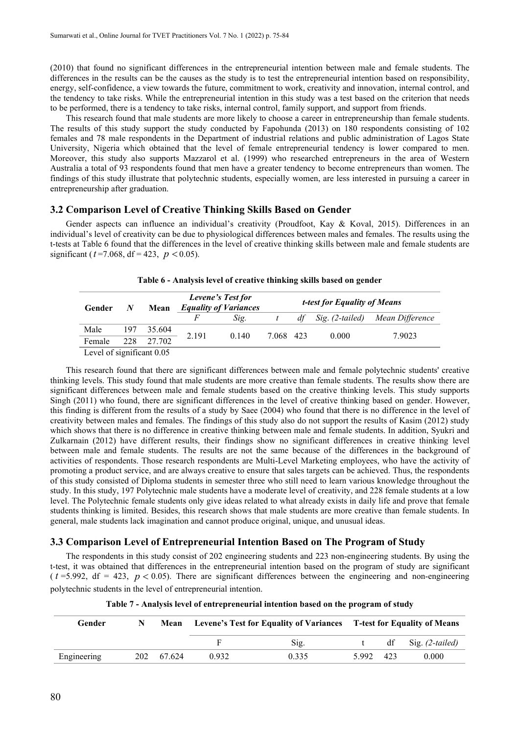(2010) that found no significant differences in the entrepreneurial intention between male and female students. The differences in the results can be the causes as the study is to test the entrepreneurial intention based on responsibility, energy, self-confidence, a view towards the future, commitment to work, creativity and innovation, internal control, and the tendency to take risks. While the entrepreneurial intention in this study was a test based on the criterion that needs to be performed, there is a tendency to take risks, internal control, family support, and support from friends.

This research found that male students are more likely to choose a career in entrepreneurship than female students. The results of this study support the study conducted by Fapohunda (2013) on 180 respondents consisting of 102 females and 78 male respondents in the Department of industrial relations and public administration of Lagos State University, Nigeria which obtained that the level of female entrepreneurial tendency is lower compared to men. Moreover, this study also supports Mazzarol et al. (1999) who researched entrepreneurs in the area of Western Australia a total of 93 respondents found that men have a greater tendency to become entrepreneurs than women. The findings of this study illustrate that polytechnic students, especially women, are less interested in pursuing a career in entrepreneurship after graduation.

#### **3.2 Comparison Level of Creative Thinking Skills Based on Gender**

Gender aspects can influence an individual's creativity (Proudfoot, Kay & Koval, 2015). Differences in an individual's level of creativity can be due to physiological differences between males and females. The results using the t-tests at Table 6 found that the differences in the level of creative thinking skills between male and female students are significant ( $t = 7.068$ , df = 423,  $p < 0.05$ ).

| Gender | N        | Mean     | Levene's Test for<br><b>Equality of Variances</b> |       |           |    | <i>t-test for Equality of Means</i> |                 |
|--------|----------|----------|---------------------------------------------------|-------|-----------|----|-------------------------------------|-----------------|
|        |          |          | F                                                 | Sig.  |           | dt | Sig. (2-tailed)                     | Mean Difference |
| Male   | 197      | 35.604   |                                                   | 0.140 |           |    |                                     |                 |
| Female | 228      | 27.702   | 2.191                                             |       | 7.068 423 |    | 0.000                               | 7.9023          |
|        | $\cdots$ | $. \cap$ |                                                   |       |           |    |                                     |                 |

**Table 6 - Analysis level of creative thinking skills based on gender**

Level of significant 0.05

This research found that there are significant differences between male and female polytechnic students' creative thinking levels. This study found that male students are more creative than female students. The results show there are significant differences between male and female students based on the creative thinking levels. This study supports Singh (2011) who found, there are significant differences in the level of creative thinking based on gender. However, this finding is different from the results of a study by Saee (2004) who found that there is no difference in the level of creativity between males and females. The findings of this study also do not support the results of Kasim (2012) study which shows that there is no difference in creative thinking between male and female students. In addition, Syukri and Zulkarnain (2012) have different results, their findings show no significant differences in creative thinking level between male and female students. The results are not the same because of the differences in the background of activities of respondents. Those research respondents are Multi-Level Marketing employees, who have the activity of promoting a product service, and are always creative to ensure that sales targets can be achieved. Thus, the respondents of this study consisted of Diploma students in semester three who still need to learn various knowledge throughout the study. In this study, 197 Polytechnic male students have a moderate level of creativity, and 228 female students at a low level. The Polytechnic female students only give ideas related to what already exists in daily life and prove that female students thinking is limited. Besides, this research shows that male students are more creative than female students. In general, male students lack imagination and cannot produce original, unique, and unusual ideas.

#### **3.3 Comparison Level of Entrepreneurial Intention Based on The Program of Study**

The respondents in this study consist of 202 engineering students and 223 non-engineering students. By using the t-test, it was obtained that differences in the entrepreneurial intention based on the program of study are significant  $(t = 5.992, df = 423, p < 0.05)$ . There are significant differences between the engineering and non-engineering polytechnic students in the level of entrepreneurial intention.

| Gender      | N | Mean       | Levene's Test for Equality of Variances T-test for Equality of Means |       |           |    |                    |
|-------------|---|------------|----------------------------------------------------------------------|-------|-----------|----|--------------------|
|             |   |            | E                                                                    | Sig.  |           | df | Sig. $(2$ -tailed) |
| Engineering |   | 202 67.624 | 0.932                                                                | 0.335 | 5.992 423 |    | 0.000              |

**Table 7 - Analysis level of entrepreneurial intention based on the program of study**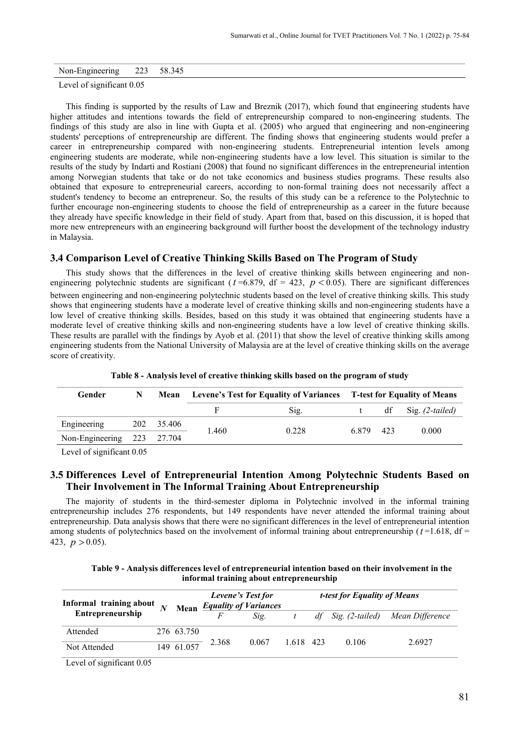| Non-Engineering | 223 | 58.345 |
|-----------------|-----|--------|
|-----------------|-----|--------|

Level of significant 0.05

This finding is supported by the results of Law and Breznik (2017), which found that engineering students have higher attitudes and intentions towards the field of entrepreneurship compared to non-engineering students. The findings of this study are also in line with Gupta et al. (2005) who argued that engineering and non-engineering students' perceptions of entrepreneurship are different. The finding shows that engineering students would prefer a career in entrepreneurship compared with non-engineering students. Entrepreneurial intention levels among engineering students are moderate, while non-engineering students have a low level. This situation is similar to the results of the study by Indarti and Rostiani (2008) that found no significant differences in the entrepreneurial intention among Norwegian students that take or do not take economics and business studies programs. These results also obtained that exposure to entrepreneurial careers, according to non-formal training does not necessarily affect a student's tendency to become an entrepreneur. So, the results of this study can be a reference to the Polytechnic to further encourage non-engineering students to choose the field of entrepreneurship as a career in the future because they already have specific knowledge in their field of study. Apart from that, based on this discussion, it is hoped that more new entrepreneurs with an engineering background will further boost the development of the technology industry in Malaysia.

# **3.4 Comparison Level of Creative Thinking Skills Based on The Program of Study**

This study shows that the differences in the level of creative thinking skills between engineering and nonengineering polytechnic students are significant ( $t = 6.879$ , df = 423,  $p < 0.05$ ). There are significant differences between engineering and non-engineering polytechnic students based on the level of creative thinking skills. This study shows that engineering students have a moderate level of creative thinking skills and non-engineering students have a low level of creative thinking skills. Besides, based on this study it was obtained that engineering students have a moderate level of creative thinking skills and non-engineering students have a low level of creative thinking skills. These results are parallel with the findings by Ayob et al. (2011) that show the level of creative thinking skills among engineering students from the National University of Malaysia are at the level of creative thinking skills on the average score of creativity.

| Gender                     | N | Mean       | <b>Levene's Test for Equality of Variances</b> T-test for Equality of Means |       |           |  |                      |  |  |
|----------------------------|---|------------|-----------------------------------------------------------------------------|-------|-----------|--|----------------------|--|--|
|                            |   |            |                                                                             | Sig.  |           |  | $df$ Sig. (2-tailed) |  |  |
| Engineering                |   | 202 35.406 | 1.460                                                                       |       | 6.879 423 |  | 0.000                |  |  |
| Non-Engineering 223 27.704 |   |            |                                                                             | 0.228 |           |  |                      |  |  |

**Table 8 - Analysis level of creative thinking skills based on the program of study**

Level of significant 0.05

# **3.5 Differences Level of Entrepreneurial Intention Among Polytechnic Students Based on Their Involvement in The Informal Training About Entrepreneurship**

The majority of students in the third-semester diploma in Polytechnic involved in the informal training entrepreneurship includes 276 respondents, but 149 respondents have never attended the informal training about entrepreneurship. Data analysis shows that there were no significant differences in the level of entrepreneurial intention among students of polytechnics based on the involvement of informal training about entrepreneurship  $(t=1.618, df=$ 423,  $p > 0.05$ ).

| Table 9 - Analysis differences level of entrepreneurial intention based on their involvement in the |
|-----------------------------------------------------------------------------------------------------|
| informal training about entrepreneurship                                                            |

| Informal training about $\overline{N}$<br>Entrepreneurship |            | Levene's Test for<br><b>Mean</b> <i>Equality of Variances</i> |       | <i>t-test for Equality of Means</i> |  |       |                                    |
|------------------------------------------------------------|------------|---------------------------------------------------------------|-------|-------------------------------------|--|-------|------------------------------------|
|                                                            |            |                                                               | Sig.  |                                     |  |       | df Sig. (2-tailed) Mean Difference |
| Attended                                                   | 276 63.750 |                                                               | 0.067 | 1.618 423                           |  | 0.106 | 2.6927                             |
| Not Attended                                               | 149 61.057 | 2.368                                                         |       |                                     |  |       |                                    |
| Lovel of significant $0.05$                                |            |                                                               |       |                                     |  |       |                                    |

Level of significant 0.05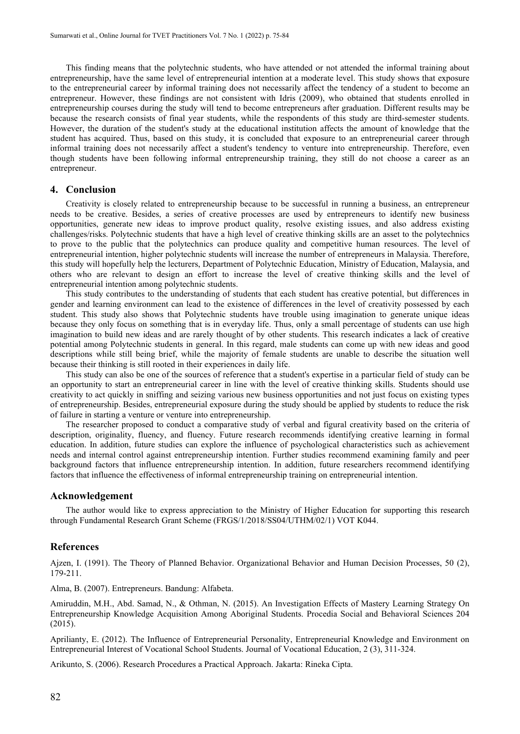This finding means that the polytechnic students, who have attended or not attended the informal training about entrepreneurship, have the same level of entrepreneurial intention at a moderate level. This study shows that exposure to the entrepreneurial career by informal training does not necessarily affect the tendency of a student to become an entrepreneur. However, these findings are not consistent with Idris (2009), who obtained that students enrolled in entrepreneurship courses during the study will tend to become entrepreneurs after graduation. Different results may be because the research consists of final year students, while the respondents of this study are third-semester students. However, the duration of the student's study at the educational institution affects the amount of knowledge that the student has acquired. Thus, based on this study, it is concluded that exposure to an entrepreneurial career through informal training does not necessarily affect a student's tendency to venture into entrepreneurship. Therefore, even though students have been following informal entrepreneurship training, they still do not choose a career as an entrepreneur.

### **4. Conclusion**

Creativity is closely related to entrepreneurship because to be successful in running a business, an entrepreneur needs to be creative. Besides, a series of creative processes are used by entrepreneurs to identify new business opportunities, generate new ideas to improve product quality, resolve existing issues, and also address existing challenges/risks. Polytechnic students that have a high level of creative thinking skills are an asset to the polytechnics to prove to the public that the polytechnics can produce quality and competitive human resources. The level of entrepreneurial intention, higher polytechnic students will increase the number of entrepreneurs in Malaysia. Therefore, this study will hopefully help the lecturers, Department of Polytechnic Education, Ministry of Education, Malaysia, and others who are relevant to design an effort to increase the level of creative thinking skills and the level of entrepreneurial intention among polytechnic students.

This study contributes to the understanding of students that each student has creative potential, but differences in gender and learning environment can lead to the existence of differences in the level of creativity possessed by each student. This study also shows that Polytechnic students have trouble using imagination to generate unique ideas because they only focus on something that is in everyday life. Thus, only a small percentage of students can use high imagination to build new ideas and are rarely thought of by other students. This research indicates a lack of creative potential among Polytechnic students in general. In this regard, male students can come up with new ideas and good descriptions while still being brief, while the majority of female students are unable to describe the situation well because their thinking is still rooted in their experiences in daily life.

This study can also be one of the sources of reference that a student's expertise in a particular field of study can be an opportunity to start an entrepreneurial career in line with the level of creative thinking skills. Students should use creativity to act quickly in sniffing and seizing various new business opportunities and not just focus on existing types of entrepreneurship. Besides, entrepreneurial exposure during the study should be applied by students to reduce the risk of failure in starting a venture or venture into entrepreneurship.

The researcher proposed to conduct a comparative study of verbal and figural creativity based on the criteria of description, originality, fluency, and fluency. Future research recommends identifying creative learning in formal education. In addition, future studies can explore the influence of psychological characteristics such as achievement needs and internal control against entrepreneurship intention. Further studies recommend examining family and peer background factors that influence entrepreneurship intention. In addition, future researchers recommend identifying factors that influence the effectiveness of informal entrepreneurship training on entrepreneurial intention.

#### **Acknowledgement**

The author would like to express appreciation to the Ministry of Higher Education for supporting this research through Fundamental Research Grant Scheme (FRGS/1/2018/SS04/UTHM/02/1) VOT K044.

#### **References**

Ajzen, I. (1991). The Theory of Planned Behavior. Organizational Behavior and Human Decision Processes, 50 (2), 179-211.

Alma, B. (2007). Entrepreneurs. Bandung: Alfabeta.

Amiruddin, M.H., Abd. Samad, N., & Othman, N. (2015). An Investigation Effects of Mastery Learning Strategy On Entrepreneurship Knowledge Acquisition Among Aboriginal Students. Procedia Social and Behavioral Sciences 204 (2015).

Aprilianty, E. (2012). The Influence of Entrepreneurial Personality, Entrepreneurial Knowledge and Environment on Entrepreneurial Interest of Vocational School Students. Journal of Vocational Education, 2 (3), 311-324.

Arikunto, S. (2006). Research Procedures a Practical Approach. Jakarta: Rineka Cipta.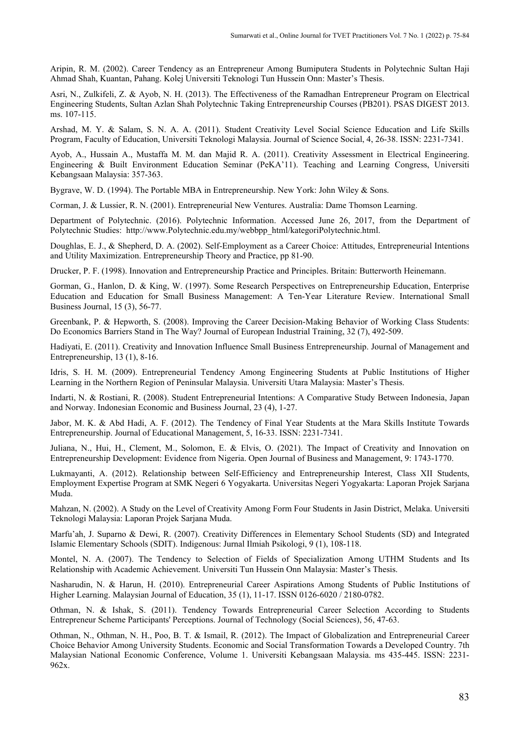Aripin, R. M. (2002). Career Tendency as an Entrepreneur Among Bumiputera Students in Polytechnic Sultan Haji Ahmad Shah, Kuantan, Pahang. Kolej Universiti Teknologi Tun Hussein Onn: Master's Thesis.

Asri, N., Zulkifeli, Z. & Ayob, N. H. (2013). The Effectiveness of the Ramadhan Entrepreneur Program on Electrical Engineering Students, Sultan Azlan Shah Polytechnic Taking Entrepreneurship Courses (PB201). PSAS DIGEST 2013. ms. 107-115.

Arshad, M. Y. & Salam, S. N. A. A. (2011). Student Creativity Level Social Science Education and Life Skills Program, Faculty of Education, Universiti Teknologi Malaysia. Journal of Science Social, 4, 26-38. ISSN: 2231-7341.

Ayob, A., Hussain A., Mustaffa M. M. dan Majid R. A. (2011). Creativity Assessment in Electrical Engineering. Engineering & Built Environment Education Seminar (PeKA'11). Teaching and Learning Congress, Universiti Kebangsaan Malaysia: 357-363.

Bygrave, W. D. (1994). The Portable MBA in Entrepreneurship. New York: John Wiley & Sons.

Corman, J. & Lussier, R. N. (2001). Entrepreneurial New Ventures. Australia: Dame Thomson Learning.

Department of Polytechnic. (2016). Polytechnic Information. Accessed June 26, 2017, from the Department of Polytechnic Studies: http://www.Polytechnic.edu.my/webbpp\_html/kategoriPolytechnic.html.

Doughlas, E. J., & Shepherd, D. A. (2002). Self-Employment as a Career Choice: Attitudes, Entrepreneurial Intentions and Utility Maximization. Entrepreneurship Theory and Practice, pp 81-90.

Drucker, P. F. (1998). Innovation and Entrepreneurship Practice and Principles. Britain: Butterworth Heinemann.

Gorman, G., Hanlon, D. & King, W. (1997). Some Research Perspectives on Entrepreneurship Education, Enterprise Education and Education for Small Business Management: A Ten-Year Literature Review. International Small Business Journal, 15 (3), 56-77.

Greenbank, P. & Hepworth, S. (2008). Improving the Career Decision-Making Behavior of Working Class Students: Do Economics Barriers Stand in The Way? Journal of European Industrial Training, 32 (7), 492-509.

Hadiyati, E. (2011). Creativity and Innovation Influence Small Business Entrepreneurship. Journal of Management and Entrepreneurship, 13 (1), 8-16.

Idris, S. H. M. (2009). Entrepreneurial Tendency Among Engineering Students at Public Institutions of Higher Learning in the Northern Region of Peninsular Malaysia. Universiti Utara Malaysia: Master's Thesis.

Indarti, N. & Rostiani, R. (2008). Student Entrepreneurial Intentions: A Comparative Study Between Indonesia, Japan and Norway. Indonesian Economic and Business Journal, 23 (4), 1-27.

Jabor, M. K. & Abd Hadi, A. F. (2012). The Tendency of Final Year Students at the Mara Skills Institute Towards Entrepreneurship. Journal of Educational Management, 5, 16-33. ISSN: 2231-7341.

Juliana, N., Hui, H., Clement, M., Solomon, E. & Elvis, O. (2021). The Impact of Creativity and Innovation on Entrepreneurship Development: Evidence from Nigeria. Open Journal of Business and Management, 9: 1743-1770.

Lukmayanti, A. (2012). Relationship between Self-Efficiency and Entrepreneurship Interest, Class XII Students, Employment Expertise Program at SMK Negeri 6 Yogyakarta. Universitas Negeri Yogyakarta: Laporan Projek Sarjana Muda.

Mahzan, N. (2002). A Study on the Level of Creativity Among Form Four Students in Jasin District, Melaka. Universiti Teknologi Malaysia: Laporan Projek Sarjana Muda.

Marfu'ah, J. Suparno & Dewi, R. (2007). Creativity Differences in Elementary School Students (SD) and Integrated Islamic Elementary Schools (SDIT). Indigenous: Jurnal Ilmiah Psikologi, 9 (1), 108-118.

Montel, N. A. (2007). The Tendency to Selection of Fields of Specialization Among UTHM Students and Its Relationship with Academic Achievement. Universiti Tun Hussein Onn Malaysia: Master's Thesis.

Nasharudin, N. & Harun, H. (2010). Entrepreneurial Career Aspirations Among Students of Public Institutions of Higher Learning. Malaysian Journal of Education, 35 (1), 11-17. ISSN 0126-6020 / 2180-0782.

Othman, N. & Ishak, S. (2011). Tendency Towards Entrepreneurial Career Selection According to Students Entrepreneur Scheme Participants' Perceptions. Journal of Technology (Social Sciences), 56, 47-63.

Othman, N., Othman, N. H., Poo, B. T. & Ismail, R. (2012). The Impact of Globalization and Entrepreneurial Career Choice Behavior Among University Students. Economic and Social Transformation Towards a Developed Country. 7th Malaysian National Economic Conference, Volume 1. Universiti Kebangsaan Malaysia. ms 435-445. ISSN: 2231- 962x.